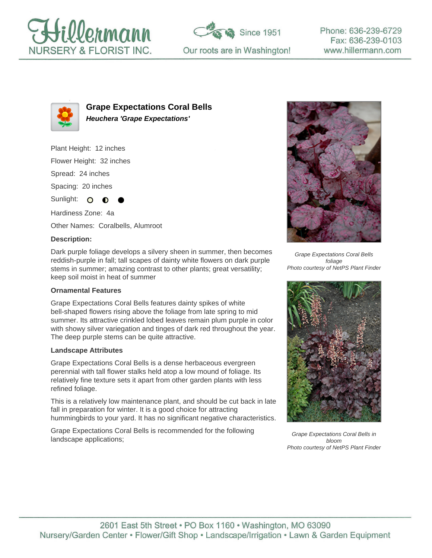





**Grape Expectations Coral Bells Heuchera 'Grape Expectations'**

Plant Height: 12 inches Flower Height: 32 inches Spread: 24 inches Spacing: 20 inches Sunlight:  $\circ$ ∩

Hardiness Zone: 4a Other Names: Coralbells, Alumroot

#### **Description:**

Dark purple foliage develops a silvery sheen in summer, then becomes reddish-purple in fall; tall scapes of dainty white flowers on dark purple stems in summer; amazing contrast to other plants; great versatility; keep soil moist in heat of summer

### **Ornamental Features**

Grape Expectations Coral Bells features dainty spikes of white bell-shaped flowers rising above the foliage from late spring to mid summer. Its attractive crinkled lobed leaves remain plum purple in color with showy silver variegation and tinges of dark red throughout the year. The deep purple stems can be quite attractive.

### **Landscape Attributes**

Grape Expectations Coral Bells is a dense herbaceous evergreen perennial with tall flower stalks held atop a low mound of foliage. Its relatively fine texture sets it apart from other garden plants with less refined foliage.

This is a relatively low maintenance plant, and should be cut back in late fall in preparation for winter. It is a good choice for attracting hummingbirds to your yard. It has no significant negative characteristics.

Grape Expectations Coral Bells is recommended for the following landscape applications;



Grape Expectations Coral Bells foliage Photo courtesy of NetPS Plant Finder



Grape Expectations Coral Bells in bloom Photo courtesy of NetPS Plant Finder